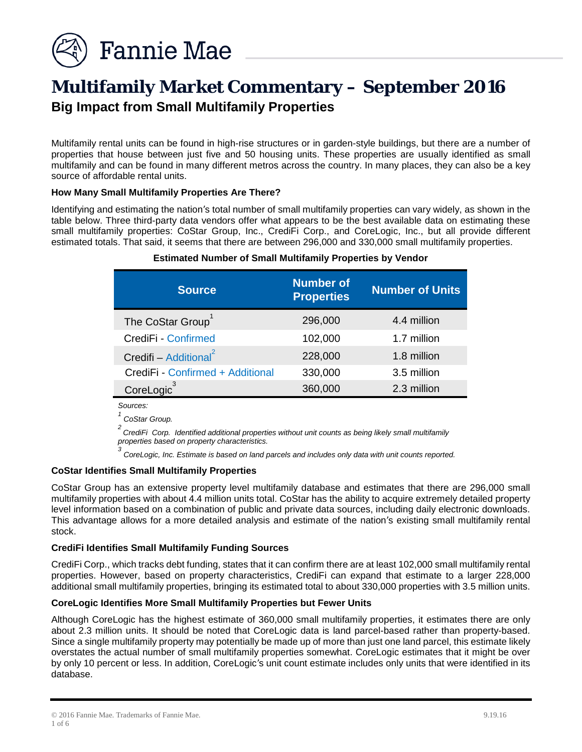

# **Multifamily Market Commentary – September 2016 Big Impact from Small Multifamily Properties**

Multifamily rental units can be found in high-rise structures or in garden-style buildings, but there are a number of properties that house between just five and 50 housing units. These properties are usually identified as small multifamily and can be found in many different metros across the country. In many places, they can also be a key source of affordable rental units.

## **How Many Small Multifamily Properties Are There?**

Identifying and estimating the nation's total number of small multifamily properties can vary widely, as shown in the table below. Three third-party data vendors offer what appears to be the best available data on estimating these small multifamily properties: CoStar Group, Inc., CrediFi Corp., and CoreLogic, Inc., but all provide different estimated totals. That said, it seems that there are between 296,000 and 330,000 small multifamily properties.

| <b>Source</b>                     | <b>Number of</b><br><b>Properties</b> | <b>Number of Units</b> |
|-----------------------------------|---------------------------------------|------------------------|
| The CoStar Group <sup>1</sup>     | 296,000                               | 4.4 million            |
| CrediFi - Confirmed               | 102,000                               | 1.7 million            |
| Credifi - Additional <sup>2</sup> | 228,000                               | 1.8 million            |
| CrediFi - Confirmed + Additional  | 330,000                               | 3.5 million            |
| CoreLogic <sup>3</sup>            | 360,000                               | 2.3 million            |

#### **Estimated Number of Small Multifamily Properties by Vendor**

*Sources:* 

*1 CoStar Group.* 

*2 CrediFi Corp. Identified additional properties without unit counts as being likely small multifamily properties based on property characteristics.*

*3 CoreLogic, Inc. Estimate is based on land parcels and includes only data with unit counts reported.*

#### **CoStar Identifies Small Multifamily Properties**

CoStar Group has an extensive property level multifamily database and estimates that there are 296,000 small multifamily properties with about 4.4 million units total. CoStar has the ability to acquire extremely detailed property level information based on a combination of public and private data sources, including daily electronic downloads. This advantage allows for a more detailed analysis and estimate of the nation's existing small multifamily rental stock.

#### **CrediFi Identifies Small Multifamily Funding Sources**

CrediFi Corp., which tracks debt funding, states that it can confirm there are at least 102,000 small multifamily rental properties. However, based on property characteristics, CrediFi can expand that estimate to a larger 228,000 additional small multifamily properties, bringing its estimated total to about 330,000 properties with 3.5 million units.

#### **CoreLogic Identifies More Small Multifamily Properties but Fewer Units**

Although CoreLogic has the highest estimate of 360,000 small multifamily properties, it estimates there are only about 2.3 million units. It should be noted that CoreLogic data is land parcel-based rather than property-based. Since a single multifamily property may potentially be made up of more than just one land parcel, this estimate likely overstates the actual number of small multifamily properties somewhat. CoreLogic estimates that it might be over by only 10 percent or less. In addition, CoreLogic's unit count estimate includes only units that were identified in its database.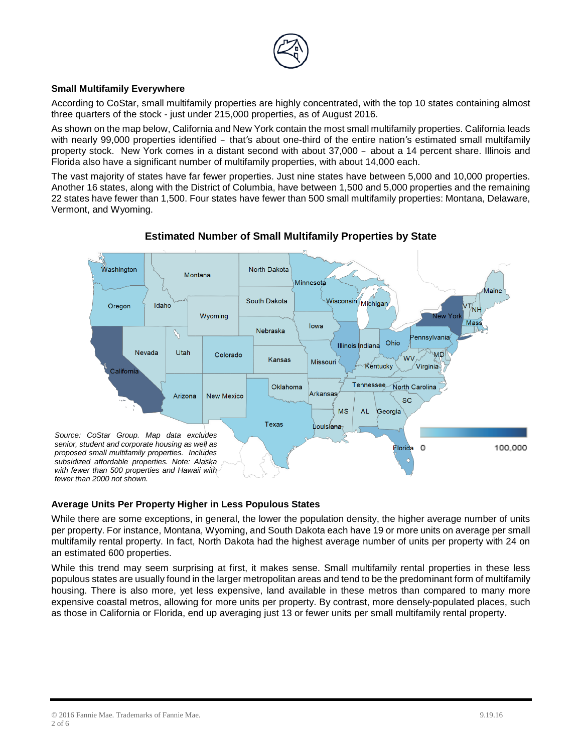

# **Small Multifamily Everywhere**

According to CoStar, small multifamily properties are highly concentrated, with the top 10 states containing almost three quarters of the stock - just under 215,000 properties, as of August 2016.

As shown on the map below, California and New York contain the most small multifamily properties. California leads with nearly 99,000 properties identified – that's about one-third of the entire nation's estimated small multifamily property stock. New York comes in a distant second with about 37,000 – about a 14 percent share. Illinois and Florida also have a significant number of multifamily properties, with about 14,000 each.

The vast majority of states have far fewer properties. Just nine states have between 5,000 and 10,000 properties. Another 16 states, along with the District of Columbia, have between 1,500 and 5,000 properties and the remaining 22 states have fewer than 1,500. Four states have fewer than 500 small multifamily properties: Montana, Delaware, Vermont, and Wyoming.



# **Estimated Number of Small Multifamily Properties by State**

## **Average Units Per Property Higher in Less Populous States**

While there are some exceptions, in general, the lower the population density, the higher average number of units per property. For instance, Montana, Wyoming, and South Dakota each have 19 or more units on average per small multifamily rental property. In fact, North Dakota had the highest average number of units per property with 24 on an estimated 600 properties.

While this trend may seem surprising at first, it makes sense. Small multifamily rental properties in these less populous states are usually found in the larger metropolitan areas and tend to be the predominant form of multifamily housing. There is also more, yet less expensive, land available in these metros than compared to many more expensive coastal metros, allowing for more units per property. By contrast, more densely-populated places, such as those in California or Florida, end up averaging just 13 or fewer units per small multifamily rental property.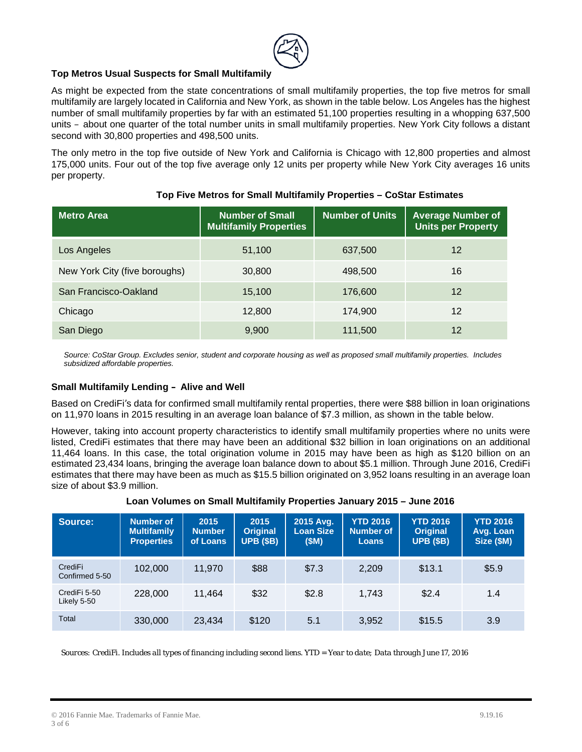

## **Top Metros Usual Suspects for Small Multifamily**

As might be expected from the state concentrations of small multifamily properties, the top five metros for small multifamily are largely located in California and New York, as shown in the table below. Los Angeles has the highest number of small multifamily properties by far with an estimated 51,100 properties resulting in a whopping 637,500 units – about one quarter of the total number units in small multifamily properties. New York City follows a distant second with 30,800 properties and 498,500 units.

The only metro in the top five outside of New York and California is Chicago with 12,800 properties and almost 175,000 units. Four out of the top five average only 12 units per property while New York City averages 16 units per property.

| <b>Metro Area</b>             | Number of Small<br><b>Multifamily Properties</b> | <b>Number of Units</b> | <b>Average Number of</b><br><b>Units per Property</b> |
|-------------------------------|--------------------------------------------------|------------------------|-------------------------------------------------------|
| Los Angeles                   | 51,100                                           | 637,500                | 12                                                    |
| New York City (five boroughs) | 30,800                                           | 498,500                | 16                                                    |
| San Francisco-Oakland         | 15,100                                           | 176,600                | 12                                                    |
| Chicago                       | 12,800                                           | 174,900                | 12                                                    |
| San Diego                     | 9,900                                            | 111,500                | 12                                                    |

## **Top Five Metros for Small Multifamily Properties – CoStar Estimates**

*Source: CoStar Group. Excludes senior, student and corporate housing as well as proposed small multifamily properties. Includes subsidized affordable properties.* 

#### **Small Multifamily Lending – Alive and Well**

Based on CrediFi's data for confirmed small multifamily rental properties, there were \$88 billion in loan originations on 11,970 loans in 2015 resulting in an average loan balance of \$7.3 million, as shown in the table below.

However, taking into account property characteristics to identify small multifamily properties where no units were listed, CrediFi estimates that there may have been an additional \$32 billion in loan originations on an additional 11,464 loans. In this case, the total origination volume in 2015 may have been as high as \$120 billion on an estimated 23,434 loans, bringing the average loan balance down to about \$5.1 million. Through June 2016, CrediFi estimates that there may have been as much as \$15.5 billion originated on 3,952 loans resulting in an average loan size of about \$3.9 million.

#### **Loan Volumes on Small Multifamily Properties January 2015 – June 2016**

| Source:                     | <b>Number of</b><br><b>Multifamily</b><br><b>Properties</b> | 2015<br><b>Number</b><br>of Loans | 2015<br><b>Original</b><br><b>UPB (\$B)</b> | 2015 Avg.<br><b>Loan Size</b><br>(SM) | <b>YTD 2016</b><br><b>Number of</b><br><b>Loans</b> | <b>YTD 2016</b><br><b>Original</b><br><b>UPB (\$B)</b> | <b>YTD 2016</b><br>Avg. Loan<br>Size (\$M) |
|-----------------------------|-------------------------------------------------------------|-----------------------------------|---------------------------------------------|---------------------------------------|-----------------------------------------------------|--------------------------------------------------------|--------------------------------------------|
| CrediFi<br>Confirmed 5-50   | 102.000                                                     | 11,970                            | \$88                                        | \$7.3                                 | 2,209                                               | \$13.1                                                 | \$5.9                                      |
| CrediFi 5-50<br>Likely 5-50 | 228,000                                                     | 11,464                            | \$32                                        | \$2.8                                 | 1,743                                               | \$2.4                                                  | 1.4                                        |
| Total                       | 330,000                                                     | 23,434                            | \$120                                       | 5.1                                   | 3,952                                               | \$15.5                                                 | 3.9                                        |

*Sources: CrediFi. Includes all types of financing including second liens. YTD = Year to date; Data through June 17, 2016*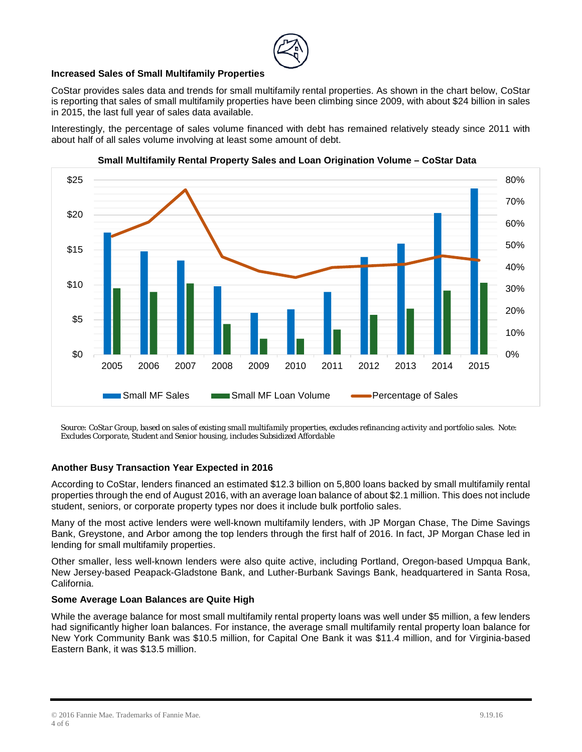## **Increased Sales of Small Multifamily Properties**

CoStar provides sales data and trends for small multifamily rental properties. As shown in the chart below, CoStar is reporting that sales of small multifamily properties have been climbing since 2009, with about \$24 billion in sales in 2015, the last full year of sales data available.

Interestingly, the percentage of sales volume financed with debt has remained relatively steady since 2011 with about half of all sales volume involving at least some amount of debt.



**Small Multifamily Rental Property Sales and Loan Origination Volume – CoStar Data** 

*Source: CoStar Group, based on sales of existing small multifamily properties, excludes refinancing activity and portfolio sales. Note: Excludes Corporate, Student and Senior housing, includes Subsidized Affordable*

## **Another Busy Transaction Year Expected in 2016**

According to CoStar, lenders financed an estimated \$12.3 billion on 5,800 loans backed by small multifamily rental properties through the end of August 2016, with an average loan balance of about \$2.1 million. This does not include student, seniors, or corporate property types nor does it include bulk portfolio sales.

Many of the most active lenders were well-known multifamily lenders, with JP Morgan Chase, The Dime Savings Bank, Greystone, and Arbor among the top lenders through the first half of 2016. In fact, JP Morgan Chase led in lending for small multifamily properties.

Other smaller, less well-known lenders were also quite active, including Portland, Oregon-based Umpqua Bank, New Jersey-based Peapack-Gladstone Bank, and Luther-Burbank Savings Bank, headquartered in Santa Rosa, California.

#### **Some Average Loan Balances are Quite High**

While the average balance for most small multifamily rental property loans was well under \$5 million, a few lenders had significantly higher loan balances. For instance, the average small multifamily rental property loan balance for New York Community Bank was \$10.5 million, for Capital One Bank it was \$11.4 million, and for Virginia-based Eastern Bank, it was \$13.5 million.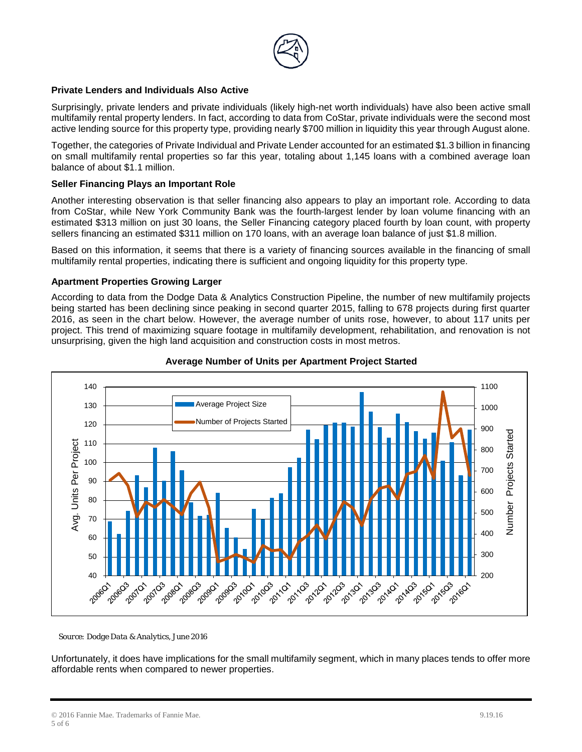

## **Private Lenders and Individuals Also Active**

Surprisingly, private lenders and private individuals (likely high-net worth individuals) have also been active small multifamily rental property lenders. In fact, according to data from CoStar, private individuals were the second most active lending source for this property type, providing nearly \$700 million in liquidity this year through August alone.

Together, the categories of Private Individual and Private Lender accounted for an estimated \$1.3 billion in financing on small multifamily rental properties so far this year, totaling about 1,145 loans with a combined average loan balance of about \$1.1 million.

#### **Seller Financing Plays an Important Role**

Another interesting observation is that seller financing also appears to play an important role. According to data from CoStar, while New York Community Bank was the fourth-largest lender by loan volume financing with an estimated \$313 million on just 30 loans, the Seller Financing category placed fourth by loan count, with property sellers financing an estimated \$311 million on 170 loans, with an average loan balance of just \$1.8 million.

Based on this information, it seems that there is a variety of financing sources available in the financing of small multifamily rental properties, indicating there is sufficient and ongoing liquidity for this property type.

#### **Apartment Properties Growing Larger**

According to data from the Dodge Data & Analytics Construction Pipeline, the number of new multifamily projects being started has been declining since peaking in second quarter 2015, falling to 678 projects during first quarter 2016, as seen in the chart below. However, the average number of units rose, however, to about 117 units per project. This trend of maximizing square footage in multifamily development, rehabilitation, and renovation is not unsurprising, given the high land acquisition and construction costs in most metros.



## **Average Number of Units per Apartment Project Started**

*Source: Dodge Data & Analytics, June 2016*

Unfortunately, it does have implications for the small multifamily segment, which in many places tends to offer more affordable rents when compared to newer properties.